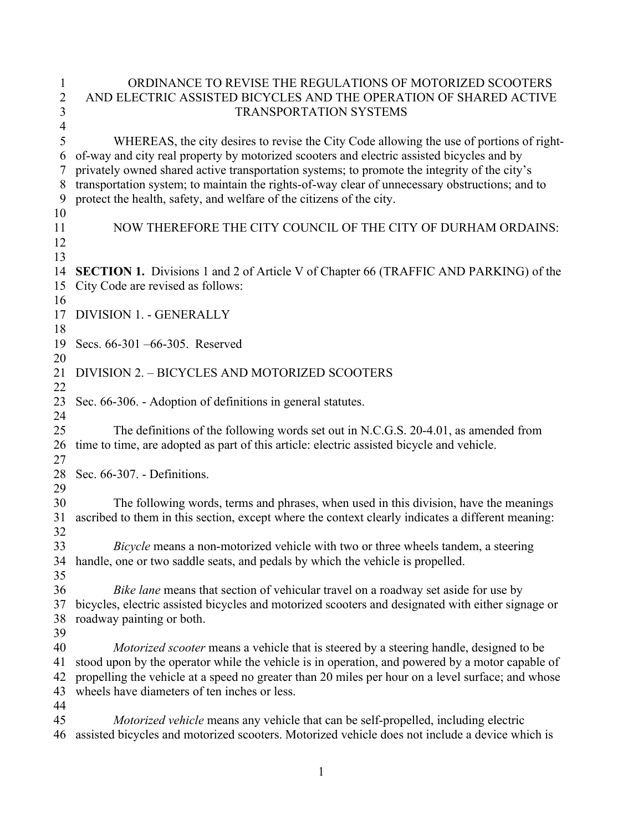| 1                   | ORDINANCE TO REVISE THE REGULATIONS OF MOTORIZED SCOOTERS                                                                                                                             |
|---------------------|---------------------------------------------------------------------------------------------------------------------------------------------------------------------------------------|
| $\overline{2}$      | AND ELECTRIC ASSISTED BICYCLES AND THE OPERATION OF SHARED ACTIVE                                                                                                                     |
| 3                   | <b>TRANSPORTATION SYSTEMS</b>                                                                                                                                                         |
| $\overline{4}$<br>5 |                                                                                                                                                                                       |
| 6                   | WHEREAS, the city desires to revise the City Code allowing the use of portions of right-<br>of-way and city real property by motorized scooters and electric assisted bicycles and by |
| 7                   | privately owned shared active transportation systems; to promote the integrity of the city's                                                                                          |
| 8                   | transportation system; to maintain the rights-of-way clear of unnecessary obstructions; and to                                                                                        |
| 9                   | protect the health, safety, and welfare of the citizens of the city.                                                                                                                  |
| 10                  |                                                                                                                                                                                       |
| 11                  | NOW THEREFORE THE CITY COUNCIL OF THE CITY OF DURHAM ORDAINS:                                                                                                                         |
| 12                  |                                                                                                                                                                                       |
| 13                  |                                                                                                                                                                                       |
| 14                  | <b>SECTION 1.</b> Divisions 1 and 2 of Article V of Chapter 66 (TRAFFIC AND PARKING) of the                                                                                           |
| 15                  | City Code are revised as follows:                                                                                                                                                     |
| 16                  |                                                                                                                                                                                       |
| 17                  | <b>DIVISION 1. - GENERALLY</b>                                                                                                                                                        |
| 18                  |                                                                                                                                                                                       |
| 19                  | Secs. 66-301 -66-305. Reserved                                                                                                                                                        |
| 20                  |                                                                                                                                                                                       |
| 21                  | DIVISION 2. - BICYCLES AND MOTORIZED SCOOTERS                                                                                                                                         |
| 22                  |                                                                                                                                                                                       |
| 23                  | Sec. 66-306. - Adoption of definitions in general statutes.                                                                                                                           |
| 24                  |                                                                                                                                                                                       |
| 25                  | The definitions of the following words set out in N.C.G.S. 20-4.01, as amended from                                                                                                   |
| 26                  | time to time, are adopted as part of this article: electric assisted bicycle and vehicle.                                                                                             |
| 27<br>28            | Sec. 66-307. - Definitions.                                                                                                                                                           |
| 29                  |                                                                                                                                                                                       |
| 30                  | The following words, terms and phrases, when used in this division, have the meanings                                                                                                 |
| 31                  | ascribed to them in this section, except where the context clearly indicates a different meaning:                                                                                     |
| 32                  |                                                                                                                                                                                       |
| 33                  | Bicycle means a non-motorized vehicle with two or three wheels tandem, a steering                                                                                                     |
| 34                  | handle, one or two saddle seats, and pedals by which the vehicle is propelled.                                                                                                        |
| 35                  |                                                                                                                                                                                       |
| 36                  | Bike lane means that section of vehicular travel on a roadway set aside for use by                                                                                                    |
| 37                  | bicycles, electric assisted bicycles and motorized scooters and designated with either signage or                                                                                     |
| 38                  | roadway painting or both.                                                                                                                                                             |
| 39                  |                                                                                                                                                                                       |
| 40                  | <i>Motorized scooter</i> means a vehicle that is steered by a steering handle, designed to be                                                                                         |
| 41                  | stood upon by the operator while the vehicle is in operation, and powered by a motor capable of                                                                                       |
| 42                  | propelling the vehicle at a speed no greater than 20 miles per hour on a level surface; and whose                                                                                     |
| 43                  | wheels have diameters of ten inches or less.                                                                                                                                          |
| 44                  |                                                                                                                                                                                       |
| 45                  | Motorized vehicle means any vehicle that can be self-propelled, including electric                                                                                                    |
| 46                  | assisted bicycles and motorized scooters. Motorized vehicle does not include a device which is                                                                                        |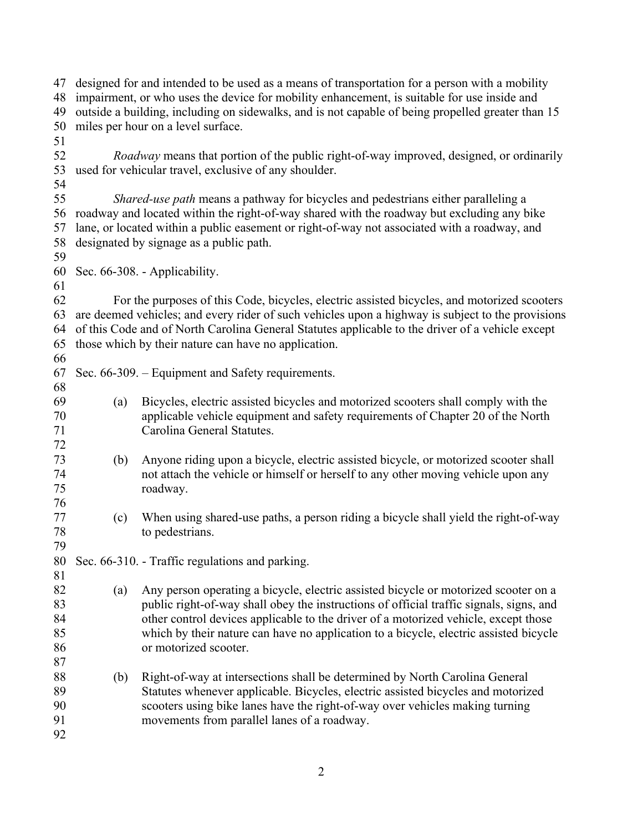| designed for and intended to be used as a means of transportation for a person with a mobility<br>47<br>impairment, or who uses the device for mobility enhancement, is suitable for use inside and<br>48<br>outside a building, including on sidewalks, and is not capable of being propelled greater than 15<br>49<br>50<br>miles per hour on a level surface.<br>51<br>52<br><i>Roadway</i> means that portion of the public right-of-way improved, designed, or ordinarily<br>53<br>used for vehicular travel, exclusive of any shoulder.<br>54<br>55<br>Shared-use path means a pathway for bicycles and pedestrians either paralleling a<br>roadway and located within the right-of-way shared with the roadway but excluding any bike<br>56<br>lane, or located within a public easement or right-of-way not associated with a roadway, and<br>57<br>58<br>designated by signage as a public path.<br>59<br>60<br>Sec. 66-308. - Applicability.<br>61<br>62<br>For the purposes of this Code, bicycles, electric assisted bicycles, and motorized scooters<br>are deemed vehicles; and every rider of such vehicles upon a highway is subject to the provisions<br>63<br>of this Code and of North Carolina General Statutes applicable to the driver of a vehicle except<br>64<br>those which by their nature can have no application.<br>65<br>66<br>Sec. 66-309. – Equipment and Safety requirements.<br>67<br>68<br>69<br>Bicycles, electric assisted bicycles and motorized scooters shall comply with the<br>(a)<br>applicable vehicle equipment and safety requirements of Chapter 20 of the North<br>70<br>71<br>Carolina General Statutes.<br>72<br>73<br>Anyone riding upon a bicycle, electric assisted bicycle, or motorized scooter shall<br>(b)<br>74<br>not attach the vehicle or himself or herself to any other moving vehicle upon any<br>75<br>roadway.<br>76<br>77<br>When using shared-use paths, a person riding a bicycle shall yield the right-of-way<br>(c)<br>78<br>to pedestrians.<br>79<br>80<br>Sec. 66-310. - Traffic regulations and parking.<br>81<br>82<br>Any person operating a bicycle, electric assisted bicycle or motorized scooter on a<br>(a)<br>83<br>public right-of-way shall obey the instructions of official traffic signals, signs, and<br>84<br>other control devices applicable to the driver of a motorized vehicle, except those<br>85<br>which by their nature can have no application to a bicycle, electric assisted bicycle<br>86<br>or motorized scooter.<br>87<br>88<br>Right-of-way at intersections shall be determined by North Carolina General<br>(b)<br>89<br>Statutes whenever applicable. Bicycles, electric assisted bicycles and motorized<br>scooters using bike lanes have the right-of-way over vehicles making turning<br>90<br>movements from parallel lanes of a roadway.<br>91 |    |  |  |  |  |  |  |
|------------------------------------------------------------------------------------------------------------------------------------------------------------------------------------------------------------------------------------------------------------------------------------------------------------------------------------------------------------------------------------------------------------------------------------------------------------------------------------------------------------------------------------------------------------------------------------------------------------------------------------------------------------------------------------------------------------------------------------------------------------------------------------------------------------------------------------------------------------------------------------------------------------------------------------------------------------------------------------------------------------------------------------------------------------------------------------------------------------------------------------------------------------------------------------------------------------------------------------------------------------------------------------------------------------------------------------------------------------------------------------------------------------------------------------------------------------------------------------------------------------------------------------------------------------------------------------------------------------------------------------------------------------------------------------------------------------------------------------------------------------------------------------------------------------------------------------------------------------------------------------------------------------------------------------------------------------------------------------------------------------------------------------------------------------------------------------------------------------------------------------------------------------------------------------------------------------------------------------------------------------------------------------------------------------------------------------------------------------------------------------------------------------------------------------------------------------------------------------------------------------------------------------------------------------------------------------------------------------------------------------------------------------------------------------------------------------------------------------------------------------------------------------------------------------------------------------------------------------------|----|--|--|--|--|--|--|
|                                                                                                                                                                                                                                                                                                                                                                                                                                                                                                                                                                                                                                                                                                                                                                                                                                                                                                                                                                                                                                                                                                                                                                                                                                                                                                                                                                                                                                                                                                                                                                                                                                                                                                                                                                                                                                                                                                                                                                                                                                                                                                                                                                                                                                                                                                                                                                                                                                                                                                                                                                                                                                                                                                                                                                                                                                                                  |    |  |  |  |  |  |  |
|                                                                                                                                                                                                                                                                                                                                                                                                                                                                                                                                                                                                                                                                                                                                                                                                                                                                                                                                                                                                                                                                                                                                                                                                                                                                                                                                                                                                                                                                                                                                                                                                                                                                                                                                                                                                                                                                                                                                                                                                                                                                                                                                                                                                                                                                                                                                                                                                                                                                                                                                                                                                                                                                                                                                                                                                                                                                  |    |  |  |  |  |  |  |
|                                                                                                                                                                                                                                                                                                                                                                                                                                                                                                                                                                                                                                                                                                                                                                                                                                                                                                                                                                                                                                                                                                                                                                                                                                                                                                                                                                                                                                                                                                                                                                                                                                                                                                                                                                                                                                                                                                                                                                                                                                                                                                                                                                                                                                                                                                                                                                                                                                                                                                                                                                                                                                                                                                                                                                                                                                                                  |    |  |  |  |  |  |  |
|                                                                                                                                                                                                                                                                                                                                                                                                                                                                                                                                                                                                                                                                                                                                                                                                                                                                                                                                                                                                                                                                                                                                                                                                                                                                                                                                                                                                                                                                                                                                                                                                                                                                                                                                                                                                                                                                                                                                                                                                                                                                                                                                                                                                                                                                                                                                                                                                                                                                                                                                                                                                                                                                                                                                                                                                                                                                  |    |  |  |  |  |  |  |
|                                                                                                                                                                                                                                                                                                                                                                                                                                                                                                                                                                                                                                                                                                                                                                                                                                                                                                                                                                                                                                                                                                                                                                                                                                                                                                                                                                                                                                                                                                                                                                                                                                                                                                                                                                                                                                                                                                                                                                                                                                                                                                                                                                                                                                                                                                                                                                                                                                                                                                                                                                                                                                                                                                                                                                                                                                                                  |    |  |  |  |  |  |  |
|                                                                                                                                                                                                                                                                                                                                                                                                                                                                                                                                                                                                                                                                                                                                                                                                                                                                                                                                                                                                                                                                                                                                                                                                                                                                                                                                                                                                                                                                                                                                                                                                                                                                                                                                                                                                                                                                                                                                                                                                                                                                                                                                                                                                                                                                                                                                                                                                                                                                                                                                                                                                                                                                                                                                                                                                                                                                  |    |  |  |  |  |  |  |
|                                                                                                                                                                                                                                                                                                                                                                                                                                                                                                                                                                                                                                                                                                                                                                                                                                                                                                                                                                                                                                                                                                                                                                                                                                                                                                                                                                                                                                                                                                                                                                                                                                                                                                                                                                                                                                                                                                                                                                                                                                                                                                                                                                                                                                                                                                                                                                                                                                                                                                                                                                                                                                                                                                                                                                                                                                                                  |    |  |  |  |  |  |  |
|                                                                                                                                                                                                                                                                                                                                                                                                                                                                                                                                                                                                                                                                                                                                                                                                                                                                                                                                                                                                                                                                                                                                                                                                                                                                                                                                                                                                                                                                                                                                                                                                                                                                                                                                                                                                                                                                                                                                                                                                                                                                                                                                                                                                                                                                                                                                                                                                                                                                                                                                                                                                                                                                                                                                                                                                                                                                  |    |  |  |  |  |  |  |
|                                                                                                                                                                                                                                                                                                                                                                                                                                                                                                                                                                                                                                                                                                                                                                                                                                                                                                                                                                                                                                                                                                                                                                                                                                                                                                                                                                                                                                                                                                                                                                                                                                                                                                                                                                                                                                                                                                                                                                                                                                                                                                                                                                                                                                                                                                                                                                                                                                                                                                                                                                                                                                                                                                                                                                                                                                                                  |    |  |  |  |  |  |  |
|                                                                                                                                                                                                                                                                                                                                                                                                                                                                                                                                                                                                                                                                                                                                                                                                                                                                                                                                                                                                                                                                                                                                                                                                                                                                                                                                                                                                                                                                                                                                                                                                                                                                                                                                                                                                                                                                                                                                                                                                                                                                                                                                                                                                                                                                                                                                                                                                                                                                                                                                                                                                                                                                                                                                                                                                                                                                  |    |  |  |  |  |  |  |
|                                                                                                                                                                                                                                                                                                                                                                                                                                                                                                                                                                                                                                                                                                                                                                                                                                                                                                                                                                                                                                                                                                                                                                                                                                                                                                                                                                                                                                                                                                                                                                                                                                                                                                                                                                                                                                                                                                                                                                                                                                                                                                                                                                                                                                                                                                                                                                                                                                                                                                                                                                                                                                                                                                                                                                                                                                                                  |    |  |  |  |  |  |  |
|                                                                                                                                                                                                                                                                                                                                                                                                                                                                                                                                                                                                                                                                                                                                                                                                                                                                                                                                                                                                                                                                                                                                                                                                                                                                                                                                                                                                                                                                                                                                                                                                                                                                                                                                                                                                                                                                                                                                                                                                                                                                                                                                                                                                                                                                                                                                                                                                                                                                                                                                                                                                                                                                                                                                                                                                                                                                  |    |  |  |  |  |  |  |
|                                                                                                                                                                                                                                                                                                                                                                                                                                                                                                                                                                                                                                                                                                                                                                                                                                                                                                                                                                                                                                                                                                                                                                                                                                                                                                                                                                                                                                                                                                                                                                                                                                                                                                                                                                                                                                                                                                                                                                                                                                                                                                                                                                                                                                                                                                                                                                                                                                                                                                                                                                                                                                                                                                                                                                                                                                                                  |    |  |  |  |  |  |  |
|                                                                                                                                                                                                                                                                                                                                                                                                                                                                                                                                                                                                                                                                                                                                                                                                                                                                                                                                                                                                                                                                                                                                                                                                                                                                                                                                                                                                                                                                                                                                                                                                                                                                                                                                                                                                                                                                                                                                                                                                                                                                                                                                                                                                                                                                                                                                                                                                                                                                                                                                                                                                                                                                                                                                                                                                                                                                  |    |  |  |  |  |  |  |
|                                                                                                                                                                                                                                                                                                                                                                                                                                                                                                                                                                                                                                                                                                                                                                                                                                                                                                                                                                                                                                                                                                                                                                                                                                                                                                                                                                                                                                                                                                                                                                                                                                                                                                                                                                                                                                                                                                                                                                                                                                                                                                                                                                                                                                                                                                                                                                                                                                                                                                                                                                                                                                                                                                                                                                                                                                                                  |    |  |  |  |  |  |  |
|                                                                                                                                                                                                                                                                                                                                                                                                                                                                                                                                                                                                                                                                                                                                                                                                                                                                                                                                                                                                                                                                                                                                                                                                                                                                                                                                                                                                                                                                                                                                                                                                                                                                                                                                                                                                                                                                                                                                                                                                                                                                                                                                                                                                                                                                                                                                                                                                                                                                                                                                                                                                                                                                                                                                                                                                                                                                  |    |  |  |  |  |  |  |
|                                                                                                                                                                                                                                                                                                                                                                                                                                                                                                                                                                                                                                                                                                                                                                                                                                                                                                                                                                                                                                                                                                                                                                                                                                                                                                                                                                                                                                                                                                                                                                                                                                                                                                                                                                                                                                                                                                                                                                                                                                                                                                                                                                                                                                                                                                                                                                                                                                                                                                                                                                                                                                                                                                                                                                                                                                                                  |    |  |  |  |  |  |  |
|                                                                                                                                                                                                                                                                                                                                                                                                                                                                                                                                                                                                                                                                                                                                                                                                                                                                                                                                                                                                                                                                                                                                                                                                                                                                                                                                                                                                                                                                                                                                                                                                                                                                                                                                                                                                                                                                                                                                                                                                                                                                                                                                                                                                                                                                                                                                                                                                                                                                                                                                                                                                                                                                                                                                                                                                                                                                  |    |  |  |  |  |  |  |
|                                                                                                                                                                                                                                                                                                                                                                                                                                                                                                                                                                                                                                                                                                                                                                                                                                                                                                                                                                                                                                                                                                                                                                                                                                                                                                                                                                                                                                                                                                                                                                                                                                                                                                                                                                                                                                                                                                                                                                                                                                                                                                                                                                                                                                                                                                                                                                                                                                                                                                                                                                                                                                                                                                                                                                                                                                                                  |    |  |  |  |  |  |  |
|                                                                                                                                                                                                                                                                                                                                                                                                                                                                                                                                                                                                                                                                                                                                                                                                                                                                                                                                                                                                                                                                                                                                                                                                                                                                                                                                                                                                                                                                                                                                                                                                                                                                                                                                                                                                                                                                                                                                                                                                                                                                                                                                                                                                                                                                                                                                                                                                                                                                                                                                                                                                                                                                                                                                                                                                                                                                  |    |  |  |  |  |  |  |
|                                                                                                                                                                                                                                                                                                                                                                                                                                                                                                                                                                                                                                                                                                                                                                                                                                                                                                                                                                                                                                                                                                                                                                                                                                                                                                                                                                                                                                                                                                                                                                                                                                                                                                                                                                                                                                                                                                                                                                                                                                                                                                                                                                                                                                                                                                                                                                                                                                                                                                                                                                                                                                                                                                                                                                                                                                                                  |    |  |  |  |  |  |  |
|                                                                                                                                                                                                                                                                                                                                                                                                                                                                                                                                                                                                                                                                                                                                                                                                                                                                                                                                                                                                                                                                                                                                                                                                                                                                                                                                                                                                                                                                                                                                                                                                                                                                                                                                                                                                                                                                                                                                                                                                                                                                                                                                                                                                                                                                                                                                                                                                                                                                                                                                                                                                                                                                                                                                                                                                                                                                  |    |  |  |  |  |  |  |
|                                                                                                                                                                                                                                                                                                                                                                                                                                                                                                                                                                                                                                                                                                                                                                                                                                                                                                                                                                                                                                                                                                                                                                                                                                                                                                                                                                                                                                                                                                                                                                                                                                                                                                                                                                                                                                                                                                                                                                                                                                                                                                                                                                                                                                                                                                                                                                                                                                                                                                                                                                                                                                                                                                                                                                                                                                                                  |    |  |  |  |  |  |  |
|                                                                                                                                                                                                                                                                                                                                                                                                                                                                                                                                                                                                                                                                                                                                                                                                                                                                                                                                                                                                                                                                                                                                                                                                                                                                                                                                                                                                                                                                                                                                                                                                                                                                                                                                                                                                                                                                                                                                                                                                                                                                                                                                                                                                                                                                                                                                                                                                                                                                                                                                                                                                                                                                                                                                                                                                                                                                  |    |  |  |  |  |  |  |
|                                                                                                                                                                                                                                                                                                                                                                                                                                                                                                                                                                                                                                                                                                                                                                                                                                                                                                                                                                                                                                                                                                                                                                                                                                                                                                                                                                                                                                                                                                                                                                                                                                                                                                                                                                                                                                                                                                                                                                                                                                                                                                                                                                                                                                                                                                                                                                                                                                                                                                                                                                                                                                                                                                                                                                                                                                                                  |    |  |  |  |  |  |  |
|                                                                                                                                                                                                                                                                                                                                                                                                                                                                                                                                                                                                                                                                                                                                                                                                                                                                                                                                                                                                                                                                                                                                                                                                                                                                                                                                                                                                                                                                                                                                                                                                                                                                                                                                                                                                                                                                                                                                                                                                                                                                                                                                                                                                                                                                                                                                                                                                                                                                                                                                                                                                                                                                                                                                                                                                                                                                  |    |  |  |  |  |  |  |
|                                                                                                                                                                                                                                                                                                                                                                                                                                                                                                                                                                                                                                                                                                                                                                                                                                                                                                                                                                                                                                                                                                                                                                                                                                                                                                                                                                                                                                                                                                                                                                                                                                                                                                                                                                                                                                                                                                                                                                                                                                                                                                                                                                                                                                                                                                                                                                                                                                                                                                                                                                                                                                                                                                                                                                                                                                                                  |    |  |  |  |  |  |  |
|                                                                                                                                                                                                                                                                                                                                                                                                                                                                                                                                                                                                                                                                                                                                                                                                                                                                                                                                                                                                                                                                                                                                                                                                                                                                                                                                                                                                                                                                                                                                                                                                                                                                                                                                                                                                                                                                                                                                                                                                                                                                                                                                                                                                                                                                                                                                                                                                                                                                                                                                                                                                                                                                                                                                                                                                                                                                  |    |  |  |  |  |  |  |
|                                                                                                                                                                                                                                                                                                                                                                                                                                                                                                                                                                                                                                                                                                                                                                                                                                                                                                                                                                                                                                                                                                                                                                                                                                                                                                                                                                                                                                                                                                                                                                                                                                                                                                                                                                                                                                                                                                                                                                                                                                                                                                                                                                                                                                                                                                                                                                                                                                                                                                                                                                                                                                                                                                                                                                                                                                                                  |    |  |  |  |  |  |  |
|                                                                                                                                                                                                                                                                                                                                                                                                                                                                                                                                                                                                                                                                                                                                                                                                                                                                                                                                                                                                                                                                                                                                                                                                                                                                                                                                                                                                                                                                                                                                                                                                                                                                                                                                                                                                                                                                                                                                                                                                                                                                                                                                                                                                                                                                                                                                                                                                                                                                                                                                                                                                                                                                                                                                                                                                                                                                  |    |  |  |  |  |  |  |
|                                                                                                                                                                                                                                                                                                                                                                                                                                                                                                                                                                                                                                                                                                                                                                                                                                                                                                                                                                                                                                                                                                                                                                                                                                                                                                                                                                                                                                                                                                                                                                                                                                                                                                                                                                                                                                                                                                                                                                                                                                                                                                                                                                                                                                                                                                                                                                                                                                                                                                                                                                                                                                                                                                                                                                                                                                                                  |    |  |  |  |  |  |  |
|                                                                                                                                                                                                                                                                                                                                                                                                                                                                                                                                                                                                                                                                                                                                                                                                                                                                                                                                                                                                                                                                                                                                                                                                                                                                                                                                                                                                                                                                                                                                                                                                                                                                                                                                                                                                                                                                                                                                                                                                                                                                                                                                                                                                                                                                                                                                                                                                                                                                                                                                                                                                                                                                                                                                                                                                                                                                  |    |  |  |  |  |  |  |
|                                                                                                                                                                                                                                                                                                                                                                                                                                                                                                                                                                                                                                                                                                                                                                                                                                                                                                                                                                                                                                                                                                                                                                                                                                                                                                                                                                                                                                                                                                                                                                                                                                                                                                                                                                                                                                                                                                                                                                                                                                                                                                                                                                                                                                                                                                                                                                                                                                                                                                                                                                                                                                                                                                                                                                                                                                                                  |    |  |  |  |  |  |  |
|                                                                                                                                                                                                                                                                                                                                                                                                                                                                                                                                                                                                                                                                                                                                                                                                                                                                                                                                                                                                                                                                                                                                                                                                                                                                                                                                                                                                                                                                                                                                                                                                                                                                                                                                                                                                                                                                                                                                                                                                                                                                                                                                                                                                                                                                                                                                                                                                                                                                                                                                                                                                                                                                                                                                                                                                                                                                  |    |  |  |  |  |  |  |
|                                                                                                                                                                                                                                                                                                                                                                                                                                                                                                                                                                                                                                                                                                                                                                                                                                                                                                                                                                                                                                                                                                                                                                                                                                                                                                                                                                                                                                                                                                                                                                                                                                                                                                                                                                                                                                                                                                                                                                                                                                                                                                                                                                                                                                                                                                                                                                                                                                                                                                                                                                                                                                                                                                                                                                                                                                                                  |    |  |  |  |  |  |  |
|                                                                                                                                                                                                                                                                                                                                                                                                                                                                                                                                                                                                                                                                                                                                                                                                                                                                                                                                                                                                                                                                                                                                                                                                                                                                                                                                                                                                                                                                                                                                                                                                                                                                                                                                                                                                                                                                                                                                                                                                                                                                                                                                                                                                                                                                                                                                                                                                                                                                                                                                                                                                                                                                                                                                                                                                                                                                  |    |  |  |  |  |  |  |
|                                                                                                                                                                                                                                                                                                                                                                                                                                                                                                                                                                                                                                                                                                                                                                                                                                                                                                                                                                                                                                                                                                                                                                                                                                                                                                                                                                                                                                                                                                                                                                                                                                                                                                                                                                                                                                                                                                                                                                                                                                                                                                                                                                                                                                                                                                                                                                                                                                                                                                                                                                                                                                                                                                                                                                                                                                                                  |    |  |  |  |  |  |  |
|                                                                                                                                                                                                                                                                                                                                                                                                                                                                                                                                                                                                                                                                                                                                                                                                                                                                                                                                                                                                                                                                                                                                                                                                                                                                                                                                                                                                                                                                                                                                                                                                                                                                                                                                                                                                                                                                                                                                                                                                                                                                                                                                                                                                                                                                                                                                                                                                                                                                                                                                                                                                                                                                                                                                                                                                                                                                  |    |  |  |  |  |  |  |
|                                                                                                                                                                                                                                                                                                                                                                                                                                                                                                                                                                                                                                                                                                                                                                                                                                                                                                                                                                                                                                                                                                                                                                                                                                                                                                                                                                                                                                                                                                                                                                                                                                                                                                                                                                                                                                                                                                                                                                                                                                                                                                                                                                                                                                                                                                                                                                                                                                                                                                                                                                                                                                                                                                                                                                                                                                                                  |    |  |  |  |  |  |  |
|                                                                                                                                                                                                                                                                                                                                                                                                                                                                                                                                                                                                                                                                                                                                                                                                                                                                                                                                                                                                                                                                                                                                                                                                                                                                                                                                                                                                                                                                                                                                                                                                                                                                                                                                                                                                                                                                                                                                                                                                                                                                                                                                                                                                                                                                                                                                                                                                                                                                                                                                                                                                                                                                                                                                                                                                                                                                  |    |  |  |  |  |  |  |
|                                                                                                                                                                                                                                                                                                                                                                                                                                                                                                                                                                                                                                                                                                                                                                                                                                                                                                                                                                                                                                                                                                                                                                                                                                                                                                                                                                                                                                                                                                                                                                                                                                                                                                                                                                                                                                                                                                                                                                                                                                                                                                                                                                                                                                                                                                                                                                                                                                                                                                                                                                                                                                                                                                                                                                                                                                                                  |    |  |  |  |  |  |  |
|                                                                                                                                                                                                                                                                                                                                                                                                                                                                                                                                                                                                                                                                                                                                                                                                                                                                                                                                                                                                                                                                                                                                                                                                                                                                                                                                                                                                                                                                                                                                                                                                                                                                                                                                                                                                                                                                                                                                                                                                                                                                                                                                                                                                                                                                                                                                                                                                                                                                                                                                                                                                                                                                                                                                                                                                                                                                  |    |  |  |  |  |  |  |
|                                                                                                                                                                                                                                                                                                                                                                                                                                                                                                                                                                                                                                                                                                                                                                                                                                                                                                                                                                                                                                                                                                                                                                                                                                                                                                                                                                                                                                                                                                                                                                                                                                                                                                                                                                                                                                                                                                                                                                                                                                                                                                                                                                                                                                                                                                                                                                                                                                                                                                                                                                                                                                                                                                                                                                                                                                                                  |    |  |  |  |  |  |  |
|                                                                                                                                                                                                                                                                                                                                                                                                                                                                                                                                                                                                                                                                                                                                                                                                                                                                                                                                                                                                                                                                                                                                                                                                                                                                                                                                                                                                                                                                                                                                                                                                                                                                                                                                                                                                                                                                                                                                                                                                                                                                                                                                                                                                                                                                                                                                                                                                                                                                                                                                                                                                                                                                                                                                                                                                                                                                  |    |  |  |  |  |  |  |
|                                                                                                                                                                                                                                                                                                                                                                                                                                                                                                                                                                                                                                                                                                                                                                                                                                                                                                                                                                                                                                                                                                                                                                                                                                                                                                                                                                                                                                                                                                                                                                                                                                                                                                                                                                                                                                                                                                                                                                                                                                                                                                                                                                                                                                                                                                                                                                                                                                                                                                                                                                                                                                                                                                                                                                                                                                                                  |    |  |  |  |  |  |  |
|                                                                                                                                                                                                                                                                                                                                                                                                                                                                                                                                                                                                                                                                                                                                                                                                                                                                                                                                                                                                                                                                                                                                                                                                                                                                                                                                                                                                                                                                                                                                                                                                                                                                                                                                                                                                                                                                                                                                                                                                                                                                                                                                                                                                                                                                                                                                                                                                                                                                                                                                                                                                                                                                                                                                                                                                                                                                  |    |  |  |  |  |  |  |
|                                                                                                                                                                                                                                                                                                                                                                                                                                                                                                                                                                                                                                                                                                                                                                                                                                                                                                                                                                                                                                                                                                                                                                                                                                                                                                                                                                                                                                                                                                                                                                                                                                                                                                                                                                                                                                                                                                                                                                                                                                                                                                                                                                                                                                                                                                                                                                                                                                                                                                                                                                                                                                                                                                                                                                                                                                                                  |    |  |  |  |  |  |  |
|                                                                                                                                                                                                                                                                                                                                                                                                                                                                                                                                                                                                                                                                                                                                                                                                                                                                                                                                                                                                                                                                                                                                                                                                                                                                                                                                                                                                                                                                                                                                                                                                                                                                                                                                                                                                                                                                                                                                                                                                                                                                                                                                                                                                                                                                                                                                                                                                                                                                                                                                                                                                                                                                                                                                                                                                                                                                  |    |  |  |  |  |  |  |
|                                                                                                                                                                                                                                                                                                                                                                                                                                                                                                                                                                                                                                                                                                                                                                                                                                                                                                                                                                                                                                                                                                                                                                                                                                                                                                                                                                                                                                                                                                                                                                                                                                                                                                                                                                                                                                                                                                                                                                                                                                                                                                                                                                                                                                                                                                                                                                                                                                                                                                                                                                                                                                                                                                                                                                                                                                                                  | 92 |  |  |  |  |  |  |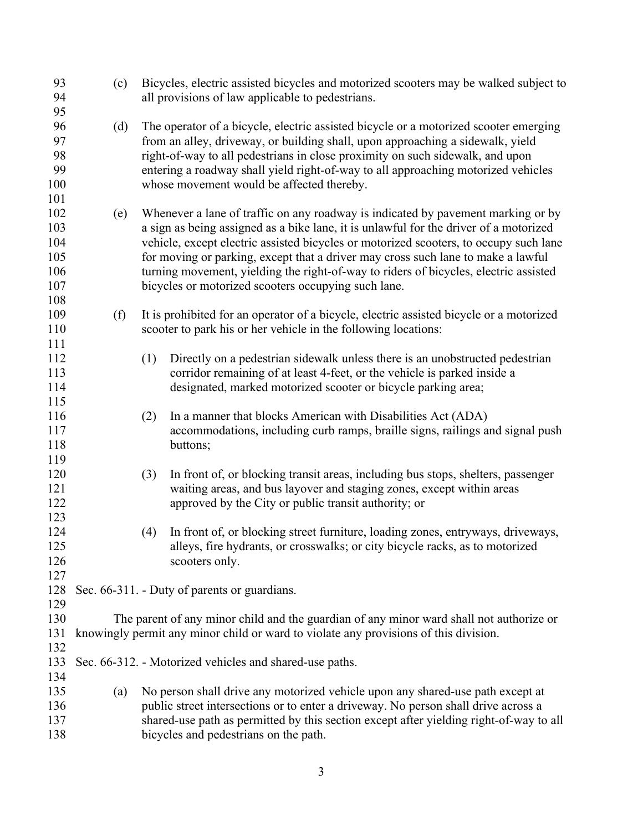| 93<br>94<br>95                                | (c) |     | Bicycles, electric assisted bicycles and motorized scooters may be walked subject to<br>all provisions of law applicable to pedestrians.                                                                                                                                                                                                                                                                                                                                                              |
|-----------------------------------------------|-----|-----|-------------------------------------------------------------------------------------------------------------------------------------------------------------------------------------------------------------------------------------------------------------------------------------------------------------------------------------------------------------------------------------------------------------------------------------------------------------------------------------------------------|
| 96<br>97<br>98<br>99<br>100<br>101            | (d) |     | The operator of a bicycle, electric assisted bicycle or a motorized scooter emerging<br>from an alley, driveway, or building shall, upon approaching a sidewalk, yield<br>right-of-way to all pedestrians in close proximity on such sidewalk, and upon<br>entering a roadway shall yield right-of-way to all approaching motorized vehicles<br>whose movement would be affected thereby.                                                                                                             |
| 102<br>103<br>104<br>105<br>106<br>107<br>108 | (e) |     | Whenever a lane of traffic on any roadway is indicated by pavement marking or by<br>a sign as being assigned as a bike lane, it is unlawful for the driver of a motorized<br>vehicle, except electric assisted bicycles or motorized scooters, to occupy such lane<br>for moving or parking, except that a driver may cross such lane to make a lawful<br>turning movement, yielding the right-of-way to riders of bicycles, electric assisted<br>bicycles or motorized scooters occupying such lane. |
| 109<br>110<br>111                             | (f) |     | It is prohibited for an operator of a bicycle, electric assisted bicycle or a motorized<br>scooter to park his or her vehicle in the following locations:                                                                                                                                                                                                                                                                                                                                             |
| 112<br>113<br>114<br>115                      |     | (1) | Directly on a pedestrian sidewalk unless there is an unobstructed pedestrian<br>corridor remaining of at least 4-feet, or the vehicle is parked inside a<br>designated, marked motorized scooter or bicycle parking area;                                                                                                                                                                                                                                                                             |
| 116<br>117<br>118<br>119                      |     | (2) | In a manner that blocks American with Disabilities Act (ADA)<br>accommodations, including curb ramps, braille signs, railings and signal push<br>buttons;                                                                                                                                                                                                                                                                                                                                             |
| 120<br>121<br>122                             |     | (3) | In front of, or blocking transit areas, including bus stops, shelters, passenger<br>waiting areas, and bus layover and staging zones, except within areas<br>approved by the City or public transit authority; or                                                                                                                                                                                                                                                                                     |
| 123<br>124<br>125<br>126<br>127               |     | (4) | In front of, or blocking street furniture, loading zones, entryways, driveways,<br>alleys, fire hydrants, or crosswalks; or city bicycle racks, as to motorized<br>scooters only.                                                                                                                                                                                                                                                                                                                     |
| 128<br>129                                    |     |     | Sec. 66-311. - Duty of parents or guardians.                                                                                                                                                                                                                                                                                                                                                                                                                                                          |
| 130<br>131<br>132                             |     |     | The parent of any minor child and the guardian of any minor ward shall not authorize or<br>knowingly permit any minor child or ward to violate any provisions of this division.                                                                                                                                                                                                                                                                                                                       |
| 133<br>134                                    |     |     | Sec. 66-312. - Motorized vehicles and shared-use paths.                                                                                                                                                                                                                                                                                                                                                                                                                                               |
| 135<br>136<br>137<br>138                      | (a) |     | No person shall drive any motorized vehicle upon any shared-use path except at<br>public street intersections or to enter a driveway. No person shall drive across a<br>shared-use path as permitted by this section except after yielding right-of-way to all<br>bicycles and pedestrians on the path.                                                                                                                                                                                               |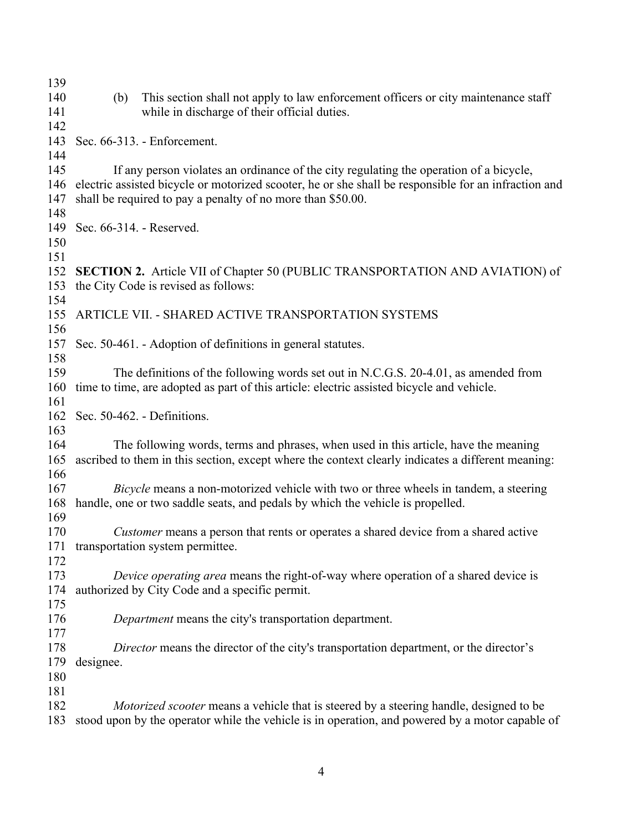| 139        |           |                                                                                                                                                                                  |
|------------|-----------|----------------------------------------------------------------------------------------------------------------------------------------------------------------------------------|
| 140        | (b)       | This section shall not apply to law enforcement officers or city maintenance staff                                                                                               |
| 141        |           | while in discharge of their official duties.                                                                                                                                     |
| 142        |           |                                                                                                                                                                                  |
| 143        |           | Sec. 66-313. - Enforcement.                                                                                                                                                      |
| 144        |           |                                                                                                                                                                                  |
| 145        |           | If any person violates an ordinance of the city regulating the operation of a bicycle,                                                                                           |
| 146        |           | electric assisted bicycle or motorized scooter, he or she shall be responsible for an infraction and                                                                             |
| 147        |           | shall be required to pay a penalty of no more than \$50.00.                                                                                                                      |
| 148        |           |                                                                                                                                                                                  |
| 149        |           | Sec. 66-314. - Reserved.                                                                                                                                                         |
| 150        |           |                                                                                                                                                                                  |
| 151        |           |                                                                                                                                                                                  |
| 152        |           | <b>SECTION 2.</b> Article VII of Chapter 50 (PUBLIC TRANSPORTATION AND AVIATION) of                                                                                              |
| 153        |           | the City Code is revised as follows:                                                                                                                                             |
| 154        |           |                                                                                                                                                                                  |
| 155        |           | ARTICLE VII. - SHARED ACTIVE TRANSPORTATION SYSTEMS                                                                                                                              |
| 156        |           |                                                                                                                                                                                  |
| 157        |           | Sec. 50-461. - Adoption of definitions in general statutes.                                                                                                                      |
| 158        |           |                                                                                                                                                                                  |
| 159<br>160 |           | The definitions of the following words set out in N.C.G.S. 20-4.01, as amended from<br>time to time, are adopted as part of this article: electric assisted bicycle and vehicle. |
| 161        |           |                                                                                                                                                                                  |
| 162        |           | Sec. 50-462. - Definitions.                                                                                                                                                      |
| 163        |           |                                                                                                                                                                                  |
| 164        |           | The following words, terms and phrases, when used in this article, have the meaning                                                                                              |
| 165        |           | ascribed to them in this section, except where the context clearly indicates a different meaning:                                                                                |
| 166        |           |                                                                                                                                                                                  |
| 167        |           | <i>Bicycle</i> means a non-motorized vehicle with two or three wheels in tandem, a steering                                                                                      |
| 168        |           | handle, one or two saddle seats, and pedals by which the vehicle is propelled.                                                                                                   |
| 169        |           |                                                                                                                                                                                  |
| 170        |           | <i>Customer</i> means a person that rents or operates a shared device from a shared active                                                                                       |
| 171        |           | transportation system permittee.                                                                                                                                                 |
| 172        |           |                                                                                                                                                                                  |
| 173        |           | Device operating area means the right-of-way where operation of a shared device is                                                                                               |
| 174        |           | authorized by City Code and a specific permit.                                                                                                                                   |
| 175        |           |                                                                                                                                                                                  |
| 176        |           | <i>Department</i> means the city's transportation department.                                                                                                                    |
| 177        |           |                                                                                                                                                                                  |
| 178        |           | Director means the director of the city's transportation department, or the director's                                                                                           |
| 179        | designee. |                                                                                                                                                                                  |
| 180        |           |                                                                                                                                                                                  |
| 181        |           |                                                                                                                                                                                  |
| 182        |           | Motorized scooter means a vehicle that is steered by a steering handle, designed to be                                                                                           |
| 183        |           | stood upon by the operator while the vehicle is in operation, and powered by a motor capable of                                                                                  |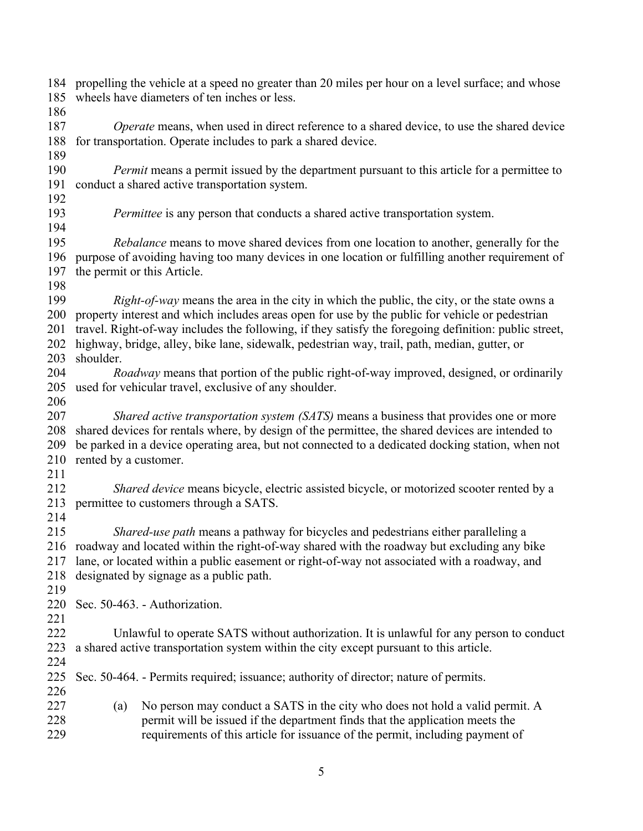| 184<br>185<br>186               | propelling the vehicle at a speed no greater than 20 miles per hour on a level surface; and whose<br>wheels have diameters of ten inches or less.                                                                                                                                                                                                                                                             |  |  |  |  |  |
|---------------------------------|---------------------------------------------------------------------------------------------------------------------------------------------------------------------------------------------------------------------------------------------------------------------------------------------------------------------------------------------------------------------------------------------------------------|--|--|--|--|--|
| 187<br>188                      | Operate means, when used in direct reference to a shared device, to use the shared device<br>for transportation. Operate includes to park a shared device.                                                                                                                                                                                                                                                    |  |  |  |  |  |
| 189<br>190<br>191               | <i>Permit</i> means a permit issued by the department pursuant to this article for a permittee to<br>conduct a shared active transportation system.                                                                                                                                                                                                                                                           |  |  |  |  |  |
| 192<br>193<br>194               | <i>Permittee</i> is any person that conducts a shared active transportation system.                                                                                                                                                                                                                                                                                                                           |  |  |  |  |  |
| 195<br>196<br>197               | <i>Rebalance</i> means to move shared devices from one location to another, generally for the<br>purpose of avoiding having too many devices in one location or fulfilling another requirement of<br>the permit or this Article.                                                                                                                                                                              |  |  |  |  |  |
| 198<br>199<br>200<br>201<br>202 | <i>Right-of-way</i> means the area in the city in which the public, the city, or the state owns a<br>property interest and which includes areas open for use by the public for vehicle or pedestrian<br>travel. Right-of-way includes the following, if they satisfy the foregoing definition: public street,<br>highway, bridge, alley, bike lane, sidewalk, pedestrian way, trail, path, median, gutter, or |  |  |  |  |  |
| 203<br>204<br>205               | shoulder.<br>Roadway means that portion of the public right-of-way improved, designed, or ordinarily<br>used for vehicular travel, exclusive of any shoulder.                                                                                                                                                                                                                                                 |  |  |  |  |  |
| 206<br>207<br>208<br>209<br>210 | Shared active transportation system (SATS) means a business that provides one or more<br>shared devices for rentals where, by design of the permittee, the shared devices are intended to<br>be parked in a device operating area, but not connected to a dedicated docking station, when not<br>rented by a customer.                                                                                        |  |  |  |  |  |
| 211<br>212<br>213               | Shared device means bicycle, electric assisted bicycle, or motorized scooter rented by a<br>permittee to customers through a SATS.                                                                                                                                                                                                                                                                            |  |  |  |  |  |
| 214<br>215<br>216<br>217<br>218 | Shared-use path means a pathway for bicycles and pedestrians either paralleling a<br>roadway and located within the right-of-way shared with the roadway but excluding any bike<br>lane, or located within a public easement or right-of-way not associated with a roadway, and<br>designated by signage as a public path.                                                                                    |  |  |  |  |  |
| 219<br>220<br>221               | Sec. 50-463. - Authorization.                                                                                                                                                                                                                                                                                                                                                                                 |  |  |  |  |  |
| 222<br>223                      | Unlawful to operate SATS without authorization. It is unlawful for any person to conduct<br>a shared active transportation system within the city except pursuant to this article.                                                                                                                                                                                                                            |  |  |  |  |  |
| 224<br>225<br>226               | Sec. 50-464. - Permits required; issuance; authority of director; nature of permits.                                                                                                                                                                                                                                                                                                                          |  |  |  |  |  |
| 227<br>228<br>229               | No person may conduct a SATS in the city who does not hold a valid permit. A<br>(a)<br>permit will be issued if the department finds that the application meets the<br>requirements of this article for issuance of the permit, including payment of                                                                                                                                                          |  |  |  |  |  |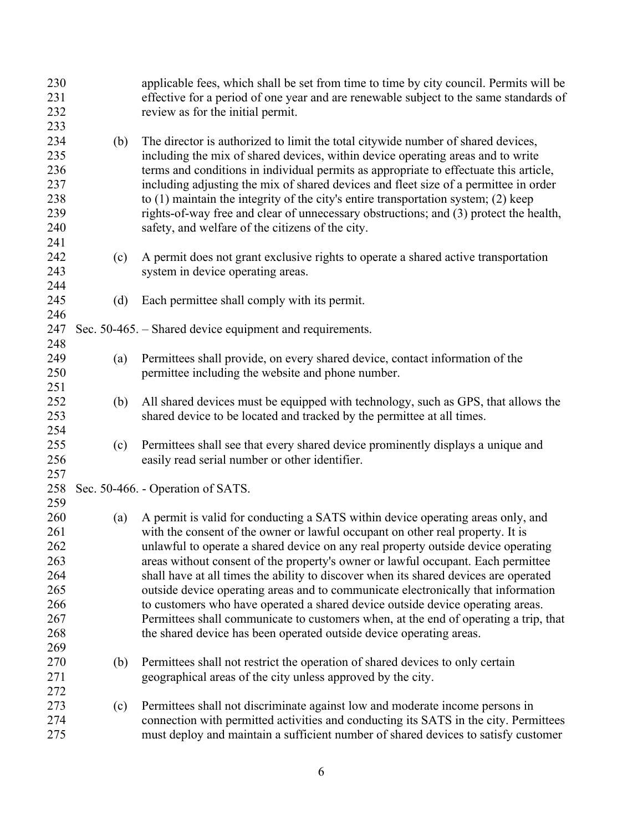| 230<br>231<br>232<br>233                                           |     | applicable fees, which shall be set from time to time by city council. Permits will be<br>effective for a period of one year and are renewable subject to the same standards of<br>review as for the initial permit.                                                                                                                                                                                                                                                                                                                                                                                                                                                                                                                                                     |
|--------------------------------------------------------------------|-----|--------------------------------------------------------------------------------------------------------------------------------------------------------------------------------------------------------------------------------------------------------------------------------------------------------------------------------------------------------------------------------------------------------------------------------------------------------------------------------------------------------------------------------------------------------------------------------------------------------------------------------------------------------------------------------------------------------------------------------------------------------------------------|
| 234<br>235<br>236<br>237<br>238<br>239<br>240                      | (b) | The director is authorized to limit the total citywide number of shared devices,<br>including the mix of shared devices, within device operating areas and to write<br>terms and conditions in individual permits as appropriate to effectuate this article,<br>including adjusting the mix of shared devices and fleet size of a permittee in order<br>to (1) maintain the integrity of the city's entire transportation system; (2) keep<br>rights-of-way free and clear of unnecessary obstructions; and (3) protect the health,<br>safety, and welfare of the citizens of the city.                                                                                                                                                                                  |
| 241<br>242<br>243<br>244                                           | (c) | A permit does not grant exclusive rights to operate a shared active transportation<br>system in device operating areas.                                                                                                                                                                                                                                                                                                                                                                                                                                                                                                                                                                                                                                                  |
| 245<br>246                                                         | (d) | Each permittee shall comply with its permit.                                                                                                                                                                                                                                                                                                                                                                                                                                                                                                                                                                                                                                                                                                                             |
| 247<br>248                                                         |     | Sec. 50-465. – Shared device equipment and requirements.                                                                                                                                                                                                                                                                                                                                                                                                                                                                                                                                                                                                                                                                                                                 |
| 249<br>250<br>251                                                  | (a) | Permittees shall provide, on every shared device, contact information of the<br>permittee including the website and phone number.                                                                                                                                                                                                                                                                                                                                                                                                                                                                                                                                                                                                                                        |
| 252<br>253                                                         | (b) | All shared devices must be equipped with technology, such as GPS, that allows the<br>shared device to be located and tracked by the permittee at all times.                                                                                                                                                                                                                                                                                                                                                                                                                                                                                                                                                                                                              |
| 254<br>255<br>256                                                  | (c) | Permittees shall see that every shared device prominently displays a unique and<br>easily read serial number or other identifier.                                                                                                                                                                                                                                                                                                                                                                                                                                                                                                                                                                                                                                        |
| 257<br>258<br>259                                                  |     | Sec. 50-466. - Operation of SATS.                                                                                                                                                                                                                                                                                                                                                                                                                                                                                                                                                                                                                                                                                                                                        |
| 260<br>261<br>262<br>263<br>264<br>265<br>266<br>267<br>268<br>269 | (a) | A permit is valid for conducting a SATS within device operating areas only, and<br>with the consent of the owner or lawful occupant on other real property. It is<br>unlawful to operate a shared device on any real property outside device operating<br>areas without consent of the property's owner or lawful occupant. Each permittee<br>shall have at all times the ability to discover when its shared devices are operated<br>outside device operating areas and to communicate electronically that information<br>to customers who have operated a shared device outside device operating areas.<br>Permittees shall communicate to customers when, at the end of operating a trip, that<br>the shared device has been operated outside device operating areas. |
| 270<br>271<br>272                                                  | (b) | Permittees shall not restrict the operation of shared devices to only certain<br>geographical areas of the city unless approved by the city.                                                                                                                                                                                                                                                                                                                                                                                                                                                                                                                                                                                                                             |
| 273<br>274<br>275                                                  | (c) | Permittees shall not discriminate against low and moderate income persons in<br>connection with permitted activities and conducting its SATS in the city. Permittees<br>must deploy and maintain a sufficient number of shared devices to satisfy customer                                                                                                                                                                                                                                                                                                                                                                                                                                                                                                               |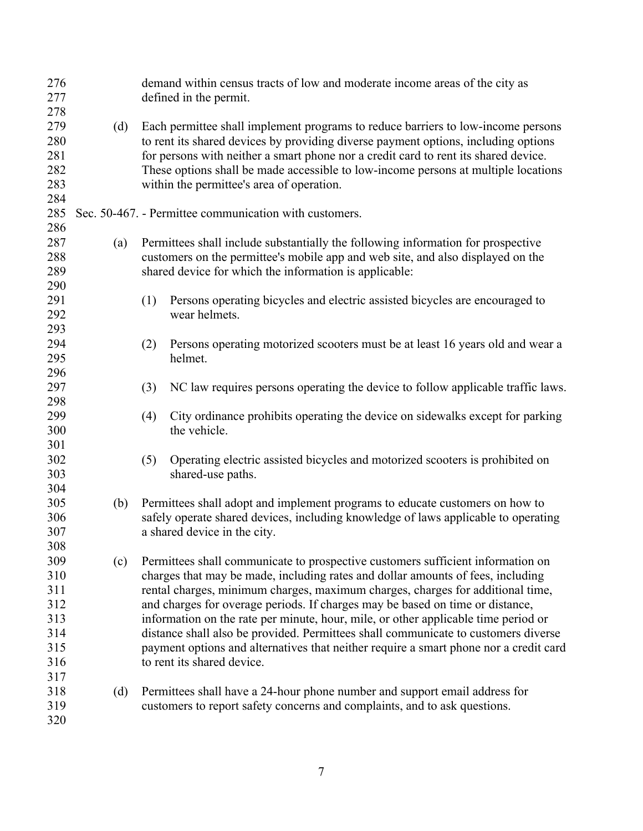| 276<br>277                      |     |     | demand within census tracts of low and moderate income areas of the city as<br>defined in the permit.                                                                                                                                                                                                                                                                                                                       |
|---------------------------------|-----|-----|-----------------------------------------------------------------------------------------------------------------------------------------------------------------------------------------------------------------------------------------------------------------------------------------------------------------------------------------------------------------------------------------------------------------------------|
| 278<br>279<br>280               | (d) |     | Each permittee shall implement programs to reduce barriers to low-income persons<br>to rent its shared devices by providing diverse payment options, including options                                                                                                                                                                                                                                                      |
| 281<br>282<br>283<br>284        |     |     | for persons with neither a smart phone nor a credit card to rent its shared device.<br>These options shall be made accessible to low-income persons at multiple locations<br>within the permittee's area of operation.                                                                                                                                                                                                      |
| 285<br>286                      |     |     | Sec. 50-467. - Permittee communication with customers.                                                                                                                                                                                                                                                                                                                                                                      |
| 287<br>288<br>289               | (a) |     | Permittees shall include substantially the following information for prospective<br>customers on the permittee's mobile app and web site, and also displayed on the<br>shared device for which the information is applicable:                                                                                                                                                                                               |
| 290<br>291<br>292               |     | (1) | Persons operating bicycles and electric assisted bicycles are encouraged to<br>wear helmets.                                                                                                                                                                                                                                                                                                                                |
| 293<br>294<br>295               |     | (2) | Persons operating motorized scooters must be at least 16 years old and wear a<br>helmet.                                                                                                                                                                                                                                                                                                                                    |
| 296<br>297<br>298               |     | (3) | NC law requires persons operating the device to follow applicable traffic laws.                                                                                                                                                                                                                                                                                                                                             |
| 299<br>300<br>301               |     | (4) | City ordinance prohibits operating the device on sidewalks except for parking<br>the vehicle.                                                                                                                                                                                                                                                                                                                               |
| 302<br>303<br>304               |     | (5) | Operating electric assisted bicycles and motorized scooters is prohibited on<br>shared-use paths.                                                                                                                                                                                                                                                                                                                           |
| 305<br>306<br>307<br>308        | (b) |     | Permittees shall adopt and implement programs to educate customers on how to<br>safely operate shared devices, including knowledge of laws applicable to operating<br>a shared device in the city.                                                                                                                                                                                                                          |
| 309<br>310<br>311<br>312<br>313 | (c) |     | Permittees shall communicate to prospective customers sufficient information on<br>charges that may be made, including rates and dollar amounts of fees, including<br>rental charges, minimum charges, maximum charges, charges for additional time,<br>and charges for overage periods. If charges may be based on time or distance,<br>information on the rate per minute, hour, mile, or other applicable time period or |
| 314<br>315<br>316<br>317        |     |     | distance shall also be provided. Permittees shall communicate to customers diverse<br>payment options and alternatives that neither require a smart phone nor a credit card<br>to rent its shared device.                                                                                                                                                                                                                   |
| 318<br>319<br>320               | (d) |     | Permittees shall have a 24-hour phone number and support email address for<br>customers to report safety concerns and complaints, and to ask questions.                                                                                                                                                                                                                                                                     |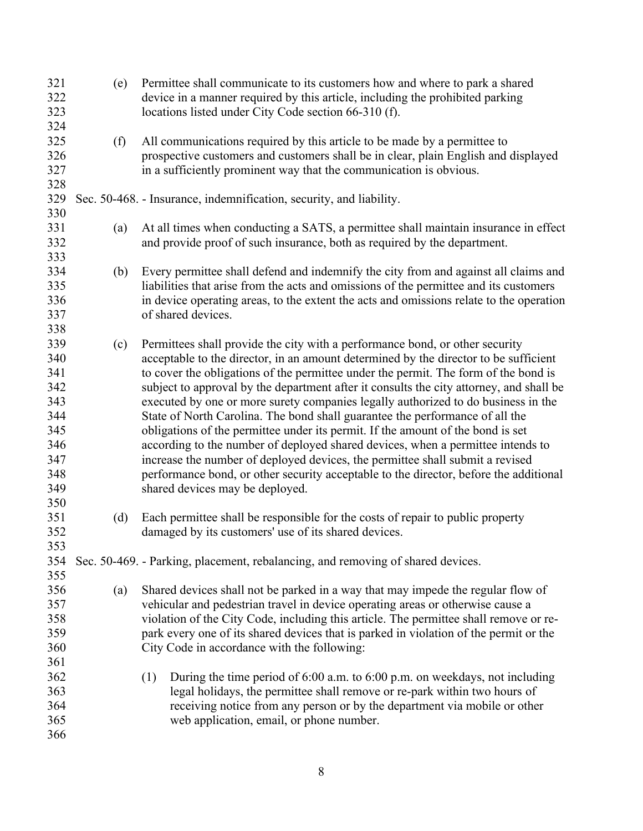| 321 | (e) | Permittee shall communicate to its customers how and where to park a shared             |
|-----|-----|-----------------------------------------------------------------------------------------|
| 322 |     | device in a manner required by this article, including the prohibited parking           |
| 323 |     | locations listed under City Code section 66-310 (f).                                    |
| 324 |     |                                                                                         |
| 325 | (f) | All communications required by this article to be made by a permittee to                |
| 326 |     | prospective customers and customers shall be in clear, plain English and displayed      |
| 327 |     | in a sufficiently prominent way that the communication is obvious.                      |
| 328 |     |                                                                                         |
| 329 |     | Sec. 50-468. - Insurance, indemnification, security, and liability.                     |
| 330 |     |                                                                                         |
| 331 | (a) | At all times when conducting a SATS, a permittee shall maintain insurance in effect     |
| 332 |     | and provide proof of such insurance, both as required by the department.                |
| 333 |     |                                                                                         |
| 334 | (b) | Every permittee shall defend and indemnify the city from and against all claims and     |
| 335 |     | liabilities that arise from the acts and omissions of the permittee and its customers   |
| 336 |     | in device operating areas, to the extent the acts and omissions relate to the operation |
| 337 |     |                                                                                         |
|     |     | of shared devices.                                                                      |
| 338 |     |                                                                                         |
| 339 | (c) | Permittees shall provide the city with a performance bond, or other security            |
| 340 |     | acceptable to the director, in an amount determined by the director to be sufficient    |
| 341 |     | to cover the obligations of the permittee under the permit. The form of the bond is     |
| 342 |     | subject to approval by the department after it consults the city attorney, and shall be |
| 343 |     | executed by one or more surety companies legally authorized to do business in the       |
| 344 |     | State of North Carolina. The bond shall guarantee the performance of all the            |
| 345 |     | obligations of the permittee under its permit. If the amount of the bond is set         |
| 346 |     | according to the number of deployed shared devices, when a permittee intends to         |
| 347 |     | increase the number of deployed devices, the permittee shall submit a revised           |
| 348 |     | performance bond, or other security acceptable to the director, before the additional   |
| 349 |     | shared devices may be deployed.                                                         |
| 350 |     |                                                                                         |
| 351 | (d) | Each permittee shall be responsible for the costs of repair to public property          |
| 352 |     | damaged by its customers' use of its shared devices.                                    |
| 353 |     |                                                                                         |
| 354 |     | Sec. 50-469. - Parking, placement, rebalancing, and removing of shared devices.         |
| 355 |     |                                                                                         |
| 356 | (a) | Shared devices shall not be parked in a way that may impede the regular flow of         |
| 357 |     | vehicular and pedestrian travel in device operating areas or otherwise cause a          |
| 358 |     | violation of the City Code, including this article. The permittee shall remove or re-   |
| 359 |     | park every one of its shared devices that is parked in violation of the permit or the   |
| 360 |     | City Code in accordance with the following:                                             |
| 361 |     |                                                                                         |
| 362 |     | During the time period of 6:00 a.m. to 6:00 p.m. on weekdays, not including<br>(1)      |
| 363 |     | legal holidays, the permittee shall remove or re-park within two hours of               |
| 364 |     | receiving notice from any person or by the department via mobile or other               |
| 365 |     | web application, email, or phone number.                                                |
| 366 |     |                                                                                         |
|     |     |                                                                                         |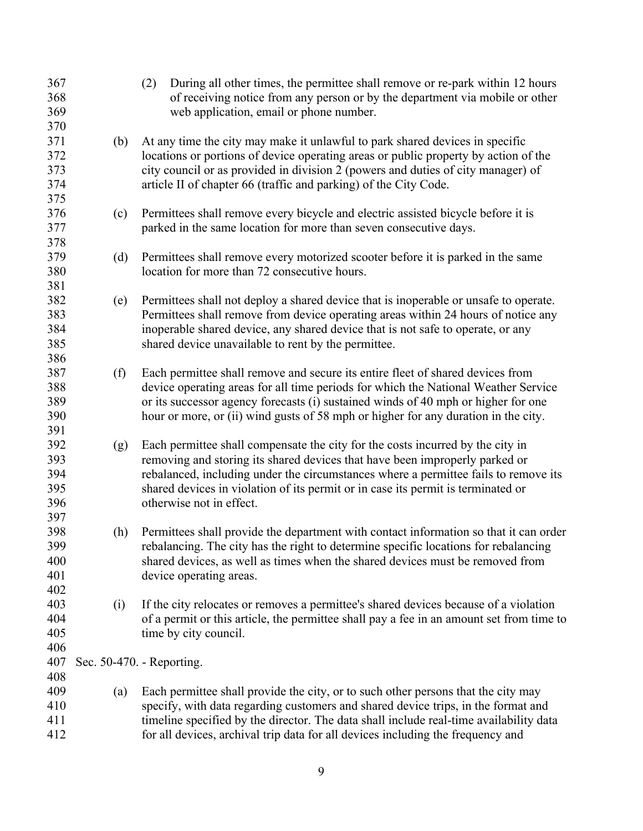| 367<br>368<br>369<br>370               |     | (2)<br>During all other times, the permittee shall remove or re-park within 12 hours<br>of receiving notice from any person or by the department via mobile or other<br>web application, email or phone number.                                                                                                                                                      |
|----------------------------------------|-----|----------------------------------------------------------------------------------------------------------------------------------------------------------------------------------------------------------------------------------------------------------------------------------------------------------------------------------------------------------------------|
| 371<br>372<br>373<br>374<br>375        | (b) | At any time the city may make it unlawful to park shared devices in specific<br>locations or portions of device operating areas or public property by action of the<br>city council or as provided in division 2 (powers and duties of city manager) of<br>article II of chapter 66 (traffic and parking) of the City Code.                                          |
| 376<br>377<br>378                      | (c) | Permittees shall remove every bicycle and electric assisted bicycle before it is<br>parked in the same location for more than seven consecutive days.                                                                                                                                                                                                                |
| 379<br>380<br>381                      | (d) | Permittees shall remove every motorized scooter before it is parked in the same<br>location for more than 72 consecutive hours.                                                                                                                                                                                                                                      |
| 382<br>383<br>384<br>385<br>386        | (e) | Permittees shall not deploy a shared device that is inoperable or unsafe to operate.<br>Permittees shall remove from device operating areas within 24 hours of notice any<br>inoperable shared device, any shared device that is not safe to operate, or any<br>shared device unavailable to rent by the permittee.                                                  |
| 387<br>388<br>389<br>390<br>391        | (f) | Each permittee shall remove and secure its entire fleet of shared devices from<br>device operating areas for all time periods for which the National Weather Service<br>or its successor agency forecasts (i) sustained winds of 40 mph or higher for one<br>hour or more, or (ii) wind gusts of 58 mph or higher for any duration in the city.                      |
| 392<br>393<br>394<br>395<br>396        | (g) | Each permittee shall compensate the city for the costs incurred by the city in<br>removing and storing its shared devices that have been improperly parked or<br>rebalanced, including under the circumstances where a permittee fails to remove its<br>shared devices in violation of its permit or in case its permit is terminated or<br>otherwise not in effect. |
| 397<br>398<br>399<br>400<br>401<br>402 | (h) | Permittees shall provide the department with contact information so that it can order<br>rebalancing. The city has the right to determine specific locations for rebalancing<br>shared devices, as well as times when the shared devices must be removed from<br>device operating areas.                                                                             |
| 403<br>404<br>405<br>406               | (i) | If the city relocates or removes a permittee's shared devices because of a violation<br>of a permit or this article, the permittee shall pay a fee in an amount set from time to<br>time by city council.                                                                                                                                                            |
| 407                                    |     | Sec. 50-470. - Reporting.                                                                                                                                                                                                                                                                                                                                            |
| 408<br>409<br>410<br>411<br>412        | (a) | Each permittee shall provide the city, or to such other persons that the city may<br>specify, with data regarding customers and shared device trips, in the format and<br>timeline specified by the director. The data shall include real-time availability data<br>for all devices, archival trip data for all devices including the frequency and                  |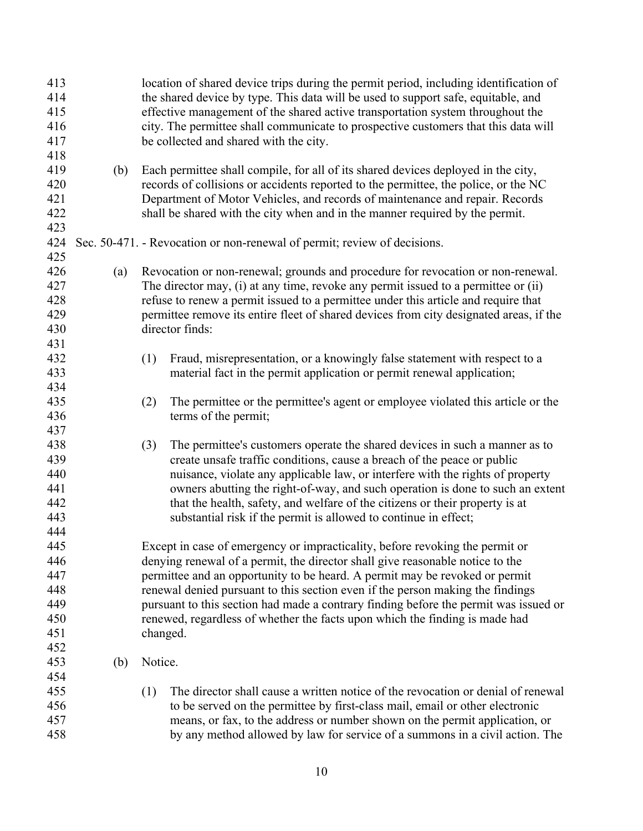| 413<br>414<br>415<br>416<br>417<br>418               |     |         | location of shared device trips during the permit period, including identification of<br>the shared device by type. This data will be used to support safe, equitable, and<br>effective management of the shared active transportation system throughout the<br>city. The permittee shall communicate to prospective customers that this data will<br>be collected and shared with the city.                                                                                                                      |
|------------------------------------------------------|-----|---------|-------------------------------------------------------------------------------------------------------------------------------------------------------------------------------------------------------------------------------------------------------------------------------------------------------------------------------------------------------------------------------------------------------------------------------------------------------------------------------------------------------------------|
| 419<br>420<br>421<br>422<br>423                      | (b) |         | Each permittee shall compile, for all of its shared devices deployed in the city,<br>records of collisions or accidents reported to the permittee, the police, or the NC<br>Department of Motor Vehicles, and records of maintenance and repair. Records<br>shall be shared with the city when and in the manner required by the permit.                                                                                                                                                                          |
| 424<br>425                                           |     |         | Sec. 50-471. - Revocation or non-renewal of permit; review of decisions.                                                                                                                                                                                                                                                                                                                                                                                                                                          |
| 426<br>427<br>428<br>429<br>430<br>431               | (a) |         | Revocation or non-renewal; grounds and procedure for revocation or non-renewal.<br>The director may, (i) at any time, revoke any permit issued to a permittee or (ii)<br>refuse to renew a permit issued to a permittee under this article and require that<br>permittee remove its entire fleet of shared devices from city designated areas, if the<br>director finds:                                                                                                                                          |
| 432<br>433<br>434                                    |     | (1)     | Fraud, misrepresentation, or a knowingly false statement with respect to a<br>material fact in the permit application or permit renewal application;                                                                                                                                                                                                                                                                                                                                                              |
| 435<br>436                                           |     | (2)     | The permittee or the permittee's agent or employee violated this article or the<br>terms of the permit;                                                                                                                                                                                                                                                                                                                                                                                                           |
| 437<br>438<br>439<br>440<br>441<br>442<br>443<br>444 |     | (3)     | The permittee's customers operate the shared devices in such a manner as to<br>create unsafe traffic conditions, cause a breach of the peace or public<br>nuisance, violate any applicable law, or interfere with the rights of property<br>owners abutting the right-of-way, and such operation is done to such an extent<br>that the health, safety, and welfare of the citizens or their property is at<br>substantial risk if the permit is allowed to continue in effect;                                    |
| 445<br>446<br>447<br>448<br>449<br>450<br>451<br>452 |     |         | Except in case of emergency or impracticality, before revoking the permit or<br>denying renewal of a permit, the director shall give reasonable notice to the<br>permittee and an opportunity to be heard. A permit may be revoked or permit<br>renewal denied pursuant to this section even if the person making the findings<br>pursuant to this section had made a contrary finding before the permit was issued or<br>renewed, regardless of whether the facts upon which the finding is made had<br>changed. |
| 453<br>454                                           | (b) | Notice. |                                                                                                                                                                                                                                                                                                                                                                                                                                                                                                                   |
| 455<br>456<br>457<br>458                             |     | (1)     | The director shall cause a written notice of the revocation or denial of renewal<br>to be served on the permittee by first-class mail, email or other electronic<br>means, or fax, to the address or number shown on the permit application, or<br>by any method allowed by law for service of a summons in a civil action. The                                                                                                                                                                                   |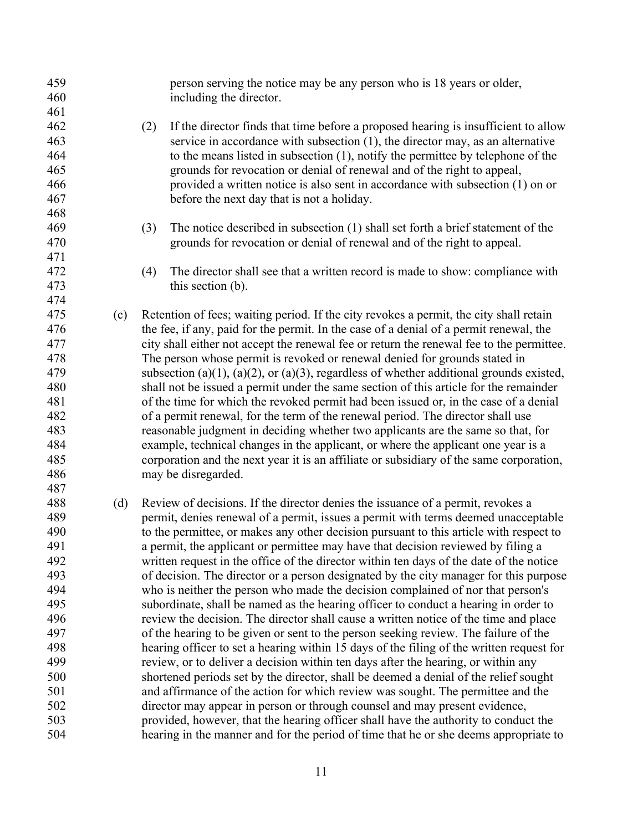| 459 |     | person serving the notice may be any person who is 18 years or older,                     |
|-----|-----|-------------------------------------------------------------------------------------------|
| 460 |     | including the director.                                                                   |
| 461 |     |                                                                                           |
| 462 |     | If the director finds that time before a proposed hearing is insufficient to allow<br>(2) |
| 463 |     | service in accordance with subsection (1), the director may, as an alternative            |
| 464 |     | to the means listed in subsection $(1)$ , notify the permittee by telephone of the        |
| 465 |     | grounds for revocation or denial of renewal and of the right to appeal,                   |
| 466 |     | provided a written notice is also sent in accordance with subsection (1) on or            |
| 467 |     | before the next day that is not a holiday.                                                |
| 468 |     |                                                                                           |
| 469 |     | The notice described in subsection (1) shall set forth a brief statement of the<br>(3)    |
| 470 |     | grounds for revocation or denial of renewal and of the right to appeal.                   |
| 471 |     |                                                                                           |
| 472 |     | (4)<br>The director shall see that a written record is made to show: compliance with      |
| 473 |     | this section (b).                                                                         |
| 474 |     |                                                                                           |
| 475 | (c) | Retention of fees; waiting period. If the city revokes a permit, the city shall retain    |
| 476 |     | the fee, if any, paid for the permit. In the case of a denial of a permit renewal, the    |
| 477 |     | city shall either not accept the renewal fee or return the renewal fee to the permittee.  |
| 478 |     | The person whose permit is revoked or renewal denied for grounds stated in                |
| 479 |     | subsection (a)(1), (a)(2), or (a)(3), regardless of whether additional grounds existed,   |
| 480 |     | shall not be issued a permit under the same section of this article for the remainder     |
| 481 |     | of the time for which the revoked permit had been issued or, in the case of a denial      |
| 482 |     | of a permit renewal, for the term of the renewal period. The director shall use           |
| 483 |     | reasonable judgment in deciding whether two applicants are the same so that, for          |
| 484 |     | example, technical changes in the applicant, or where the applicant one year is a         |
| 485 |     |                                                                                           |
| 486 |     | corporation and the next year it is an affiliate or subsidiary of the same corporation,   |
|     |     | may be disregarded.                                                                       |
| 487 |     |                                                                                           |
| 488 | (d) | Review of decisions. If the director denies the issuance of a permit, revokes a           |
| 489 |     | permit, denies renewal of a permit, issues a permit with terms deemed unacceptable        |
| 490 |     | to the permittee, or makes any other decision pursuant to this article with respect to    |
| 491 |     | a permit, the applicant or permittee may have that decision reviewed by filing a          |
| 492 |     | written request in the office of the director within ten days of the date of the notice   |
| 493 |     | of decision. The director or a person designated by the city manager for this purpose     |
| 494 |     | who is neither the person who made the decision complained of nor that person's           |
| 495 |     | subordinate, shall be named as the hearing officer to conduct a hearing in order to       |
| 496 |     | review the decision. The director shall cause a written notice of the time and place      |
| 497 |     | of the hearing to be given or sent to the person seeking review. The failure of the       |
| 498 |     | hearing officer to set a hearing within 15 days of the filing of the written request for  |
| 499 |     | review, or to deliver a decision within ten days after the hearing, or within any         |
| 500 |     | shortened periods set by the director, shall be deemed a denial of the relief sought      |
| 501 |     | and affirmance of the action for which review was sought. The permittee and the           |
| 502 |     | director may appear in person or through counsel and may present evidence,                |
| 503 |     | provided, however, that the hearing officer shall have the authority to conduct the       |
| 504 |     | hearing in the manner and for the period of time that he or she deems appropriate to      |
|     |     |                                                                                           |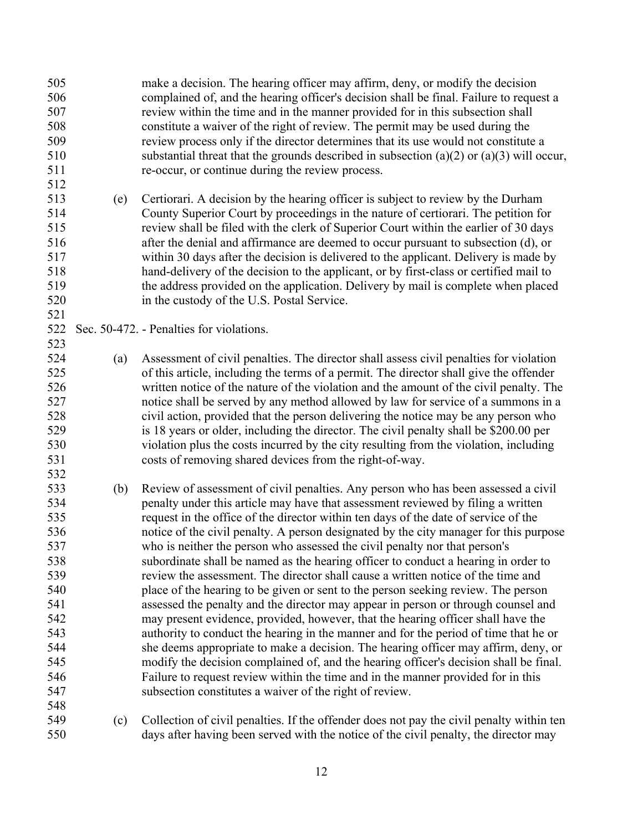make a decision. The hearing officer may affirm, deny, or modify the decision complained of, and the hearing officer's decision shall be final. Failure to request a review within the time and in the manner provided for in this subsection shall constitute a waiver of the right of review. The permit may be used during the review process only if the director determines that its use would not constitute a substantial threat that the grounds described in subsection (a)(2) or (a)(3) will occur, re-occur, or continue during the review process.

 (e) Certiorari. A decision by the hearing officer is subject to review by the Durham County Superior Court by proceedings in the nature of certiorari. The petition for review shall be filed with the clerk of Superior Court within the earlier of 30 days after the denial and affirmance are deemed to occur pursuant to subsection (d), or within 30 days after the decision is delivered to the applicant. Delivery is made by hand-delivery of the decision to the applicant, or by first-class or certified mail to the address provided on the application. Delivery by mail is complete when placed in the custody of the U.S. Postal Service.

## Sec. 50-472. - Penalties for violations.

- (a) Assessment of civil penalties. The director shall assess civil penalties for violation of this article, including the terms of a permit. The director shall give the offender written notice of the nature of the violation and the amount of the civil penalty. The notice shall be served by any method allowed by law for service of a summons in a civil action, provided that the person delivering the notice may be any person who is 18 years or older, including the director. The civil penalty shall be \$200.00 per violation plus the costs incurred by the city resulting from the violation, including costs of removing shared devices from the right-of-way.
- (b) Review of assessment of civil penalties. Any person who has been assessed a civil penalty under this article may have that assessment reviewed by filing a written request in the office of the director within ten days of the date of service of the notice of the civil penalty. A person designated by the city manager for this purpose who is neither the person who assessed the civil penalty nor that person's subordinate shall be named as the hearing officer to conduct a hearing in order to review the assessment. The director shall cause a written notice of the time and place of the hearing to be given or sent to the person seeking review. The person assessed the penalty and the director may appear in person or through counsel and may present evidence, provided, however, that the hearing officer shall have the authority to conduct the hearing in the manner and for the period of time that he or she deems appropriate to make a decision. The hearing officer may affirm, deny, or modify the decision complained of, and the hearing officer's decision shall be final. Failure to request review within the time and in the manner provided for in this subsection constitutes a waiver of the right of review.
- (c) Collection of civil penalties. If the offender does not pay the civil penalty within ten days after having been served with the notice of the civil penalty, the director may